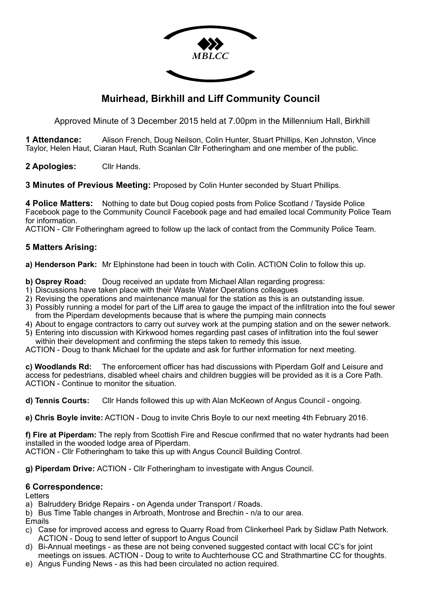

# **Muirhead, Birkhill and Liff Community Council**

Approved Minute of 3 December 2015 held at 7.00pm in the Millennium Hall, Birkhill

**1 Attendance:** Alison French, Doug Neilson, Colin Hunter, Stuart Phillips, Ken Johnston, Vince Taylor, Helen Haut, Ciaran Haut, Ruth Scanlan Cllr Fotheringham and one member of the public.

**2 Apologies:** Cllr Hands.

**3 Minutes of Previous Meeting:** Proposed by Colin Hunter seconded by Stuart Phillips.

**4 Police Matters:** Nothing to date but Doug copied posts from Police Scotland / Tayside Police Facebook page to the Community Council Facebook page and had emailed local Community Police Team for information.

ACTION - Cllr Fotheringham agreed to follow up the lack of contact from the Community Police Team.

## **5 Matters Arising:**

**a) Henderson Park:** Mr Elphinstone had been in touch with Colin. ACTION Colin to follow this up.

- **b) Osprey Road:** Doug received an update from Michael Allan regarding progress:
- 1) Discussions have taken place with their Waste Water Operations colleagues
- 2) Revising the operations and maintenance manual for the station as this is an outstanding issue.
- 3) Possibly running a model for part of the Liff area to gauge the impact of the infiltration into the foul sewer from the Piperdam developments because that is where the pumping main connects
- 4) About to engage contractors to carry out survey work at the pumping station and on the sewer network.
- 5) Entering into discussion with Kirkwood homes regarding past cases of infiltration into the foul sewer within their development and confirming the steps taken to remedy this issue.

ACTION - Doug to thank Michael for the update and ask for further information for next meeting.

**c) Woodlands Rd:** The enforcement officer has had discussions with Piperdam Golf and Leisure and access for pedestrians, disabled wheel chairs and children buggies will be provided as it is a Core Path. ACTION - Continue to monitor the situation.

**d) Tennis Courts:** Cllr Hands followed this up with Alan McKeown of Angus Council - ongoing.

**e) Chris Boyle invite:** ACTION - Doug to invite Chris Boyle to our next meeting 4th February 2016.

**f) Fire at Piperdam:** The reply from Scottish Fire and Rescue confirmed that no water hydrants had been installed in the wooded lodge area of Piperdam.

ACTION - Cllr Fotheringham to take this up with Angus Council Building Control.

**g) Piperdam Drive:** ACTION - Cllr Fotheringham to investigate with Angus Council.

## **6 Correspondence:**

**Letters** 

- a) Balruddery Bridge Repairs on Agenda under Transport / Roads.
- b) Bus Time Table changes in Arbroath, Montrose and Brechin n/a to our area.

Emails

- c) Case for improved access and egress to Quarry Road from Clinkerheel Park by Sidlaw Path Network. ACTION - Doug to send letter of support to Angus Council
- d) Bi-Annual meetings as these are not being convened suggested contact with local CC's for joint meetings on issues. ACTION - Doug to write to Auchterhouse CC and Strathmartine CC for thoughts.
- e) Angus Funding News as this had been circulated no action required.